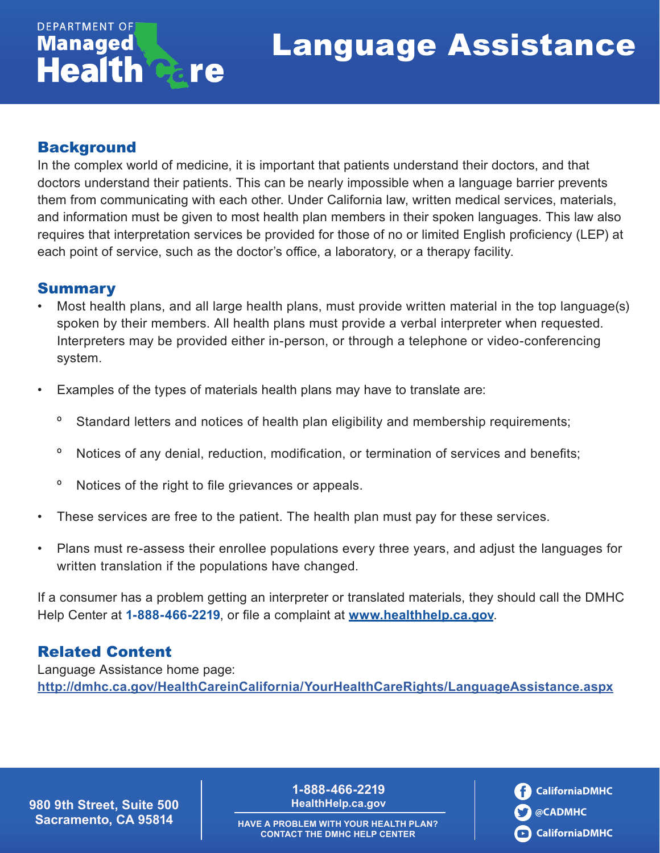## Language Assistance

## **Background**

**DEPARTMENT OF Managed** 

**Health** 

In the complex world of medicine, it is important that patients understand their doctors, and that doctors understand their patients. This can be nearly impossible when a language barrier prevents them from communicating with each other. Under California law, written medical services, materials, and information must be given to most health plan members in their spoken languages. This law also requires that interpretation services be provided for those of no or limited English proficiency (LEP) at each point of service, such as the doctor's office, a laboratory, or a therapy facility.

#### **Summary**

- Most health plans, and all large health plans, must provide written material in the top language(s) spoken by their members. All health plans must provide a verbal interpreter when requested. Interpreters may be provided either in-person, or through a telephone or video-conferencing system.
- Examples of the types of materials health plans may have to translate are:
	- º Standard letters and notices of health plan eligibility and membership requirements;
	- º Notices of any denial, reduction, modification, or termination of services and benefits;
	- º Notices of the right to file grievances or appeals.

re

- These services are free to the patient. The health plan must pay for these services.
- Plans must re-assess their enrollee populations every three years, and adjust the languages for written translation if the populations have changed.

If a consumer has a problem getting an interpreter or translated materials, they should call the DMHC Help Center at **1-888-466-2219**, or file a complaint at **[www.healthhelp.ca.gov](http://www.healthhelp.ca.gov)**.

### Related Content

Language Assistance home page: **<http://dmhc.ca.gov/HealthCareinCalifornia/YourHealthCareRights/LanguageAssistance.aspx>**

**980 9th Street, Suite 500 Sacramento, CA 95814**

**1-888-466-2219 [HealthHelp.ca.gov](http://www.healthhelp.ca.gov)** **CaliforniaDMHC @CADMHC CaliforniaDMHC**

**HAVE A PROBLEM WITH YOUR HEALTH PLAN? CONTACT THE DMHC HELP CENTER**